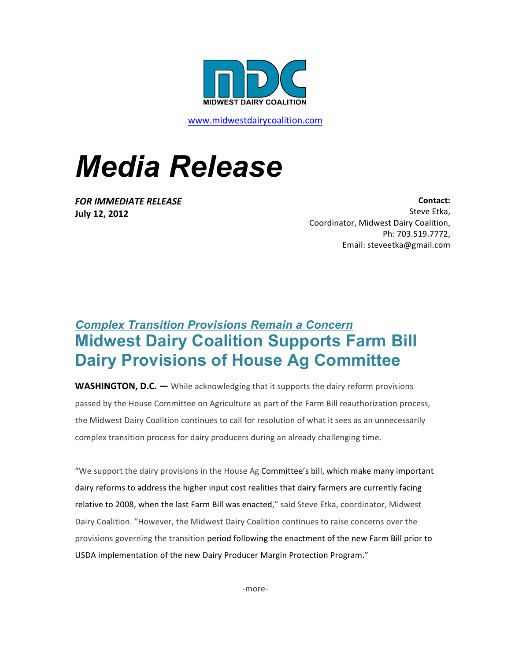

www.midwestdairycoalition.com

## *Media Release*

**FOR IMMEDIATE RELEASE July 12, 2012**

**Contact:**  Steve Etka, Coordinator, Midwest Dairy Coalition, Ph: 703.519.7772, Email: steveetka@gmail.com

## *Complex Transition Provisions Remain a Concern* **Midwest Dairy Coalition Supports Farm Bill Dairy Provisions of House Ag Committee**

**WASHINGTON, D.C.** — While acknowledging that it supports the dairy reform provisions passed by the House Committee on Agriculture as part of the Farm Bill reauthorization process, the Midwest Dairy Coalition continues to call for resolution of what it sees as an unnecessarily complex transition process for dairy producers during an already challenging time.

"We support the dairy provisions in the House Ag Committee's bill, which make many important dairy reforms to address the higher input cost realities that dairy farmers are currently facing relative to 2008, when the last Farm Bill was enacted," said Steve Etka, coordinator, Midwest Dairy Coalition. "However, the Midwest Dairy Coalition continues to raise concerns over the provisions governing the transition period following the enactment of the new Farm Bill prior to USDA implementation of the new Dairy Producer Margin Protection Program."